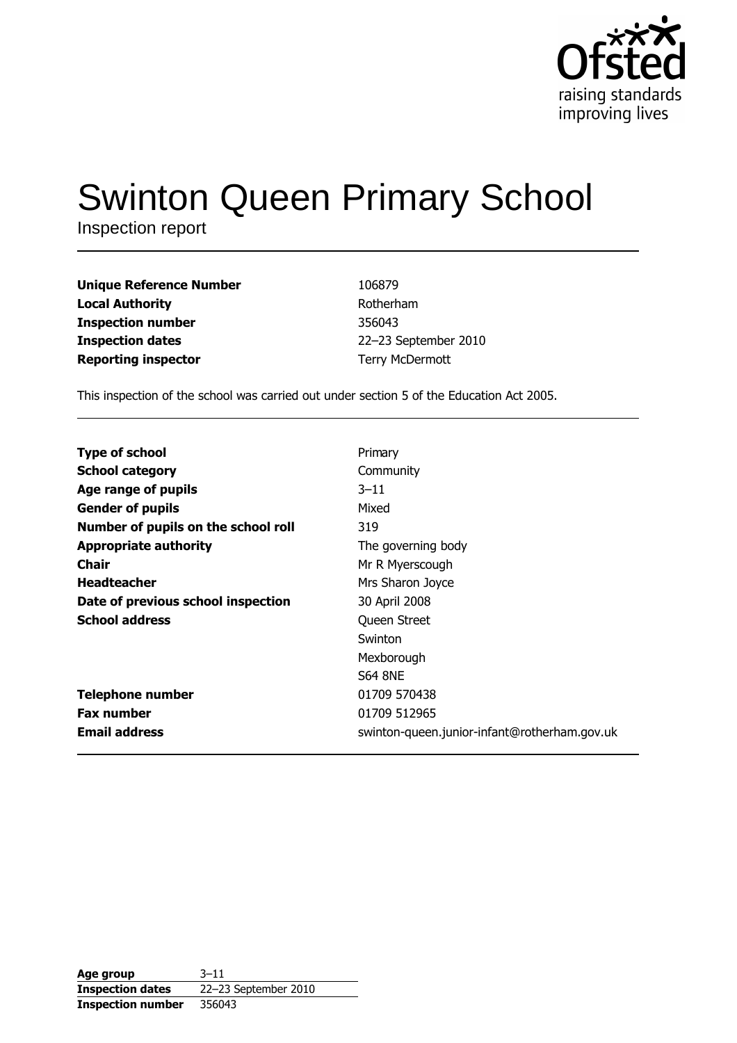

# **Swinton Queen Primary School**

Inspection report

| Unique Reference Number | 106879               |
|-------------------------|----------------------|
| Local Authority         | Rotherham            |
| Inspection number       | 356043               |
| Inspection dates        | 22-23 September 2010 |
| Reporting inspector     | Terry McDermott      |

This inspection of the school was carried out under section 5 of the Education Act 2005.

| <b>Type of school</b>               | Primary                                      |
|-------------------------------------|----------------------------------------------|
| <b>School category</b>              | Community                                    |
| Age range of pupils                 | $3 - 11$                                     |
| <b>Gender of pupils</b>             | Mixed                                        |
| Number of pupils on the school roll | 319                                          |
| <b>Appropriate authority</b>        | The governing body                           |
| Chair                               | Mr R Myerscough                              |
| <b>Headteacher</b>                  | Mrs Sharon Joyce                             |
| Date of previous school inspection  | 30 April 2008                                |
| <b>School address</b>               | Queen Street                                 |
|                                     | Swinton                                      |
|                                     | Mexborough                                   |
|                                     | <b>S64 8NE</b>                               |
| <b>Telephone number</b>             | 01709 570438                                 |
| <b>Fax number</b>                   | 01709 512965                                 |
| <b>Email address</b>                | swinton-queen.junior-infant@rotherham.gov.uk |

| Age group                | $3 - 11$             |
|--------------------------|----------------------|
| <b>Inspection dates</b>  | 22-23 September 2010 |
| <b>Inspection number</b> | 356043               |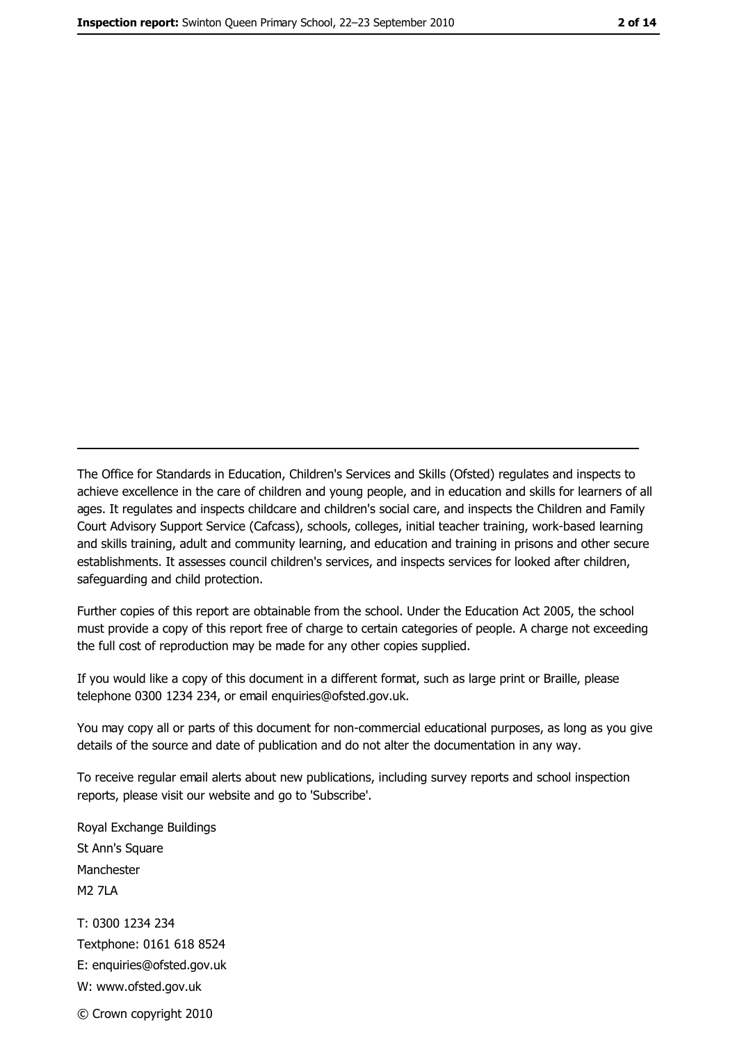The Office for Standards in Education, Children's Services and Skills (Ofsted) regulates and inspects to achieve excellence in the care of children and young people, and in education and skills for learners of all ages. It regulates and inspects childcare and children's social care, and inspects the Children and Family Court Advisory Support Service (Cafcass), schools, colleges, initial teacher training, work-based learning and skills training, adult and community learning, and education and training in prisons and other secure establishments. It assesses council children's services, and inspects services for looked after children, safeguarding and child protection.

Further copies of this report are obtainable from the school. Under the Education Act 2005, the school must provide a copy of this report free of charge to certain categories of people. A charge not exceeding the full cost of reproduction may be made for any other copies supplied.

If you would like a copy of this document in a different format, such as large print or Braille, please telephone 0300 1234 234, or email enquiries@ofsted.gov.uk.

You may copy all or parts of this document for non-commercial educational purposes, as long as you give details of the source and date of publication and do not alter the documentation in any way.

To receive regular email alerts about new publications, including survey reports and school inspection reports, please visit our website and go to 'Subscribe'.

Royal Exchange Buildings St Ann's Square Manchester **M2 7I A** T: 0300 1234 234 Textphone: 0161 618 8524 E: enquiries@ofsted.gov.uk W: www.ofsted.gov.uk © Crown copyright 2010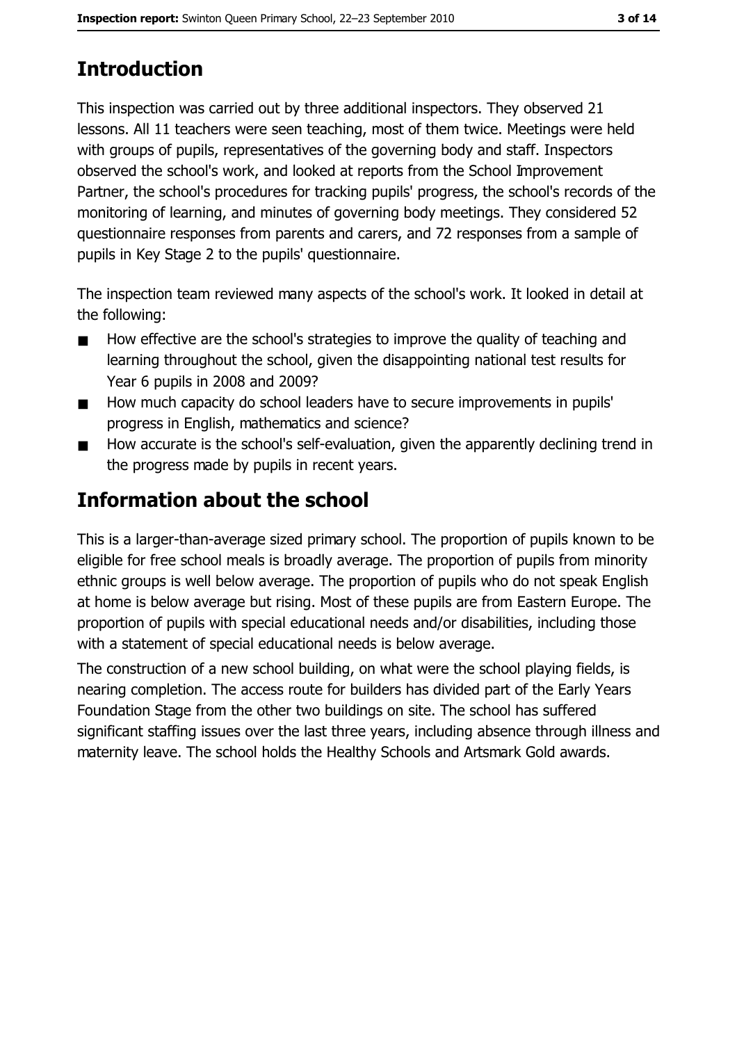# **Introduction**

This inspection was carried out by three additional inspectors. They observed 21 lessons. All 11 teachers were seen teaching, most of them twice. Meetings were held with groups of pupils, representatives of the governing body and staff. Inspectors observed the school's work, and looked at reports from the School Improvement Partner, the school's procedures for tracking pupils' progress, the school's records of the monitoring of learning, and minutes of governing body meetings. They considered 52 questionnaire responses from parents and carers, and 72 responses from a sample of pupils in Key Stage 2 to the pupils' questionnaire.

The inspection team reviewed many aspects of the school's work. It looked in detail at the following:

- How effective are the school's strategies to improve the quality of teaching and  $\blacksquare$ learning throughout the school, given the disappointing national test results for Year 6 pupils in 2008 and 2009?
- How much capacity do school leaders have to secure improvements in pupils'  $\blacksquare$ progress in English, mathematics and science?
- How accurate is the school's self-evaluation, given the apparently declining trend in  $\blacksquare$ the progress made by pupils in recent years.

# **Information about the school**

This is a larger-than-average sized primary school. The proportion of pupils known to be eligible for free school meals is broadly average. The proportion of pupils from minority ethnic groups is well below average. The proportion of pupils who do not speak English at home is below average but rising. Most of these pupils are from Eastern Europe. The proportion of pupils with special educational needs and/or disabilities, including those with a statement of special educational needs is below average.

The construction of a new school building, on what were the school playing fields, is nearing completion. The access route for builders has divided part of the Early Years Foundation Stage from the other two buildings on site. The school has suffered significant staffing issues over the last three years, including absence through illness and maternity leave. The school holds the Healthy Schools and Artsmark Gold awards.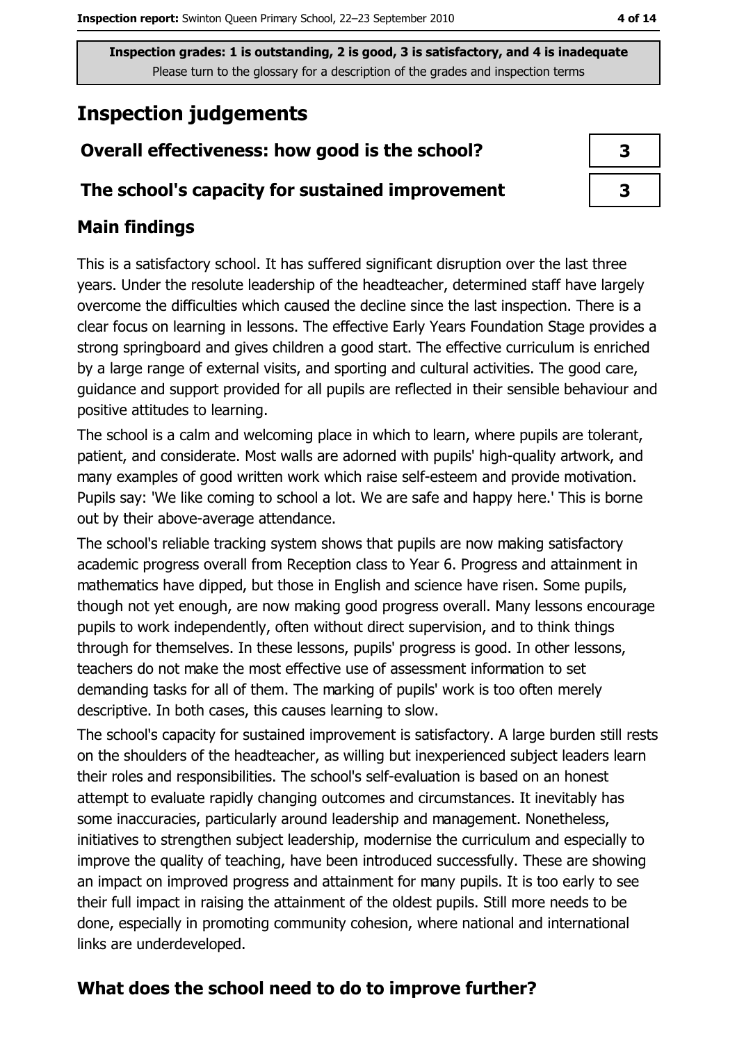## **Inspection judgements**

## Overall effectiveness: how good is the school?

#### The school's capacity for sustained improvement

### **Main findings**

This is a satisfactory school. It has suffered significant disruption over the last three years. Under the resolute leadership of the headteacher, determined staff have largely overcome the difficulties which caused the decline since the last inspection. There is a clear focus on learning in lessons. The effective Early Years Foundation Stage provides a strong springboard and gives children a good start. The effective curriculum is enriched by a large range of external visits, and sporting and cultural activities. The good care, guidance and support provided for all pupils are reflected in their sensible behaviour and positive attitudes to learning.

The school is a calm and welcoming place in which to learn, where pupils are tolerant, patient, and considerate. Most walls are adorned with pupils' high-quality artwork, and many examples of good written work which raise self-esteem and provide motivation. Pupils say: 'We like coming to school a lot. We are safe and happy here.' This is borne out by their above-average attendance.

The school's reliable tracking system shows that pupils are now making satisfactory academic progress overall from Reception class to Year 6. Progress and attainment in mathematics have dipped, but those in English and science have risen. Some pupils, though not yet enough, are now making good progress overall. Many lessons encourage pupils to work independently, often without direct supervision, and to think things through for themselves. In these lessons, pupils' progress is good. In other lessons, teachers do not make the most effective use of assessment information to set demanding tasks for all of them. The marking of pupils' work is too often merely descriptive. In both cases, this causes learning to slow.

The school's capacity for sustained improvement is satisfactory. A large burden still rests on the shoulders of the headteacher, as willing but inexperienced subject leaders learn their roles and responsibilities. The school's self-evaluation is based on an honest attempt to evaluate rapidly changing outcomes and circumstances. It inevitably has some inaccuracies, particularly around leadership and management. Nonetheless, initiatives to strengthen subject leadership, modernise the curriculum and especially to improve the quality of teaching, have been introduced successfully. These are showing an impact on improved progress and attainment for many pupils. It is too early to see their full impact in raising the attainment of the oldest pupils. Still more needs to be done, especially in promoting community cohesion, where national and international links are underdeveloped.

## What does the school need to do to improve further?

| 3 |  |
|---|--|
| 3 |  |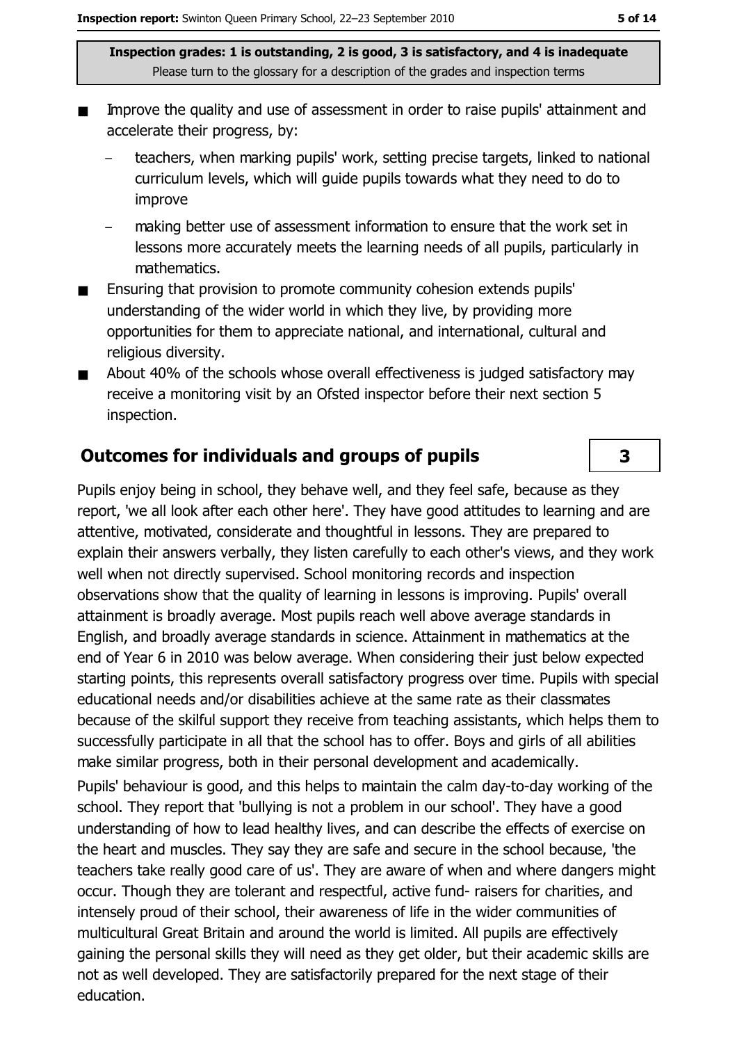- Improve the quality and use of assessment in order to raise pupils' attainment and accelerate their progress, by:
	- teachers, when marking pupils' work, setting precise targets, linked to national curriculum levels, which will guide pupils towards what they need to do to improve
	- making better use of assessment information to ensure that the work set in lessons more accurately meets the learning needs of all pupils, particularly in mathematics.
- Ensuring that provision to promote community cohesion extends pupils'  $\blacksquare$ understanding of the wider world in which they live, by providing more opportunities for them to appreciate national, and international, cultural and religious diversity.
- About 40% of the schools whose overall effectiveness is judged satisfactory may  $\blacksquare$ receive a monitoring visit by an Ofsted inspector before their next section 5 inspection.

#### **Outcomes for individuals and groups of pupils**

Pupils enjoy being in school, they behave well, and they feel safe, because as they report, 'we all look after each other here'. They have good attitudes to learning and are attentive, motivated, considerate and thoughtful in lessons. They are prepared to explain their answers verbally, they listen carefully to each other's views, and they work well when not directly supervised. School monitoring records and inspection observations show that the quality of learning in lessons is improving. Pupils' overall attainment is broadly average. Most pupils reach well above average standards in English, and broadly average standards in science. Attainment in mathematics at the end of Year 6 in 2010 was below average. When considering their just below expected starting points, this represents overall satisfactory progress over time. Pupils with special educational needs and/or disabilities achieve at the same rate as their classmates because of the skilful support they receive from teaching assistants, which helps them to successfully participate in all that the school has to offer. Boys and girls of all abilities make similar progress, both in their personal development and academically.

Pupils' behaviour is good, and this helps to maintain the calm day-to-day working of the school. They report that 'bullying is not a problem in our school'. They have a good understanding of how to lead healthy lives, and can describe the effects of exercise on the heart and muscles. They say they are safe and secure in the school because, 'the teachers take really good care of us'. They are aware of when and where dangers might occur. Though they are tolerant and respectful, active fund-raisers for charities, and intensely proud of their school, their awareness of life in the wider communities of multicultural Great Britain and around the world is limited. All pupils are effectively gaining the personal skills they will need as they get older, but their academic skills are not as well developed. They are satisfactorily prepared for the next stage of their education.

 $\overline{\mathbf{3}}$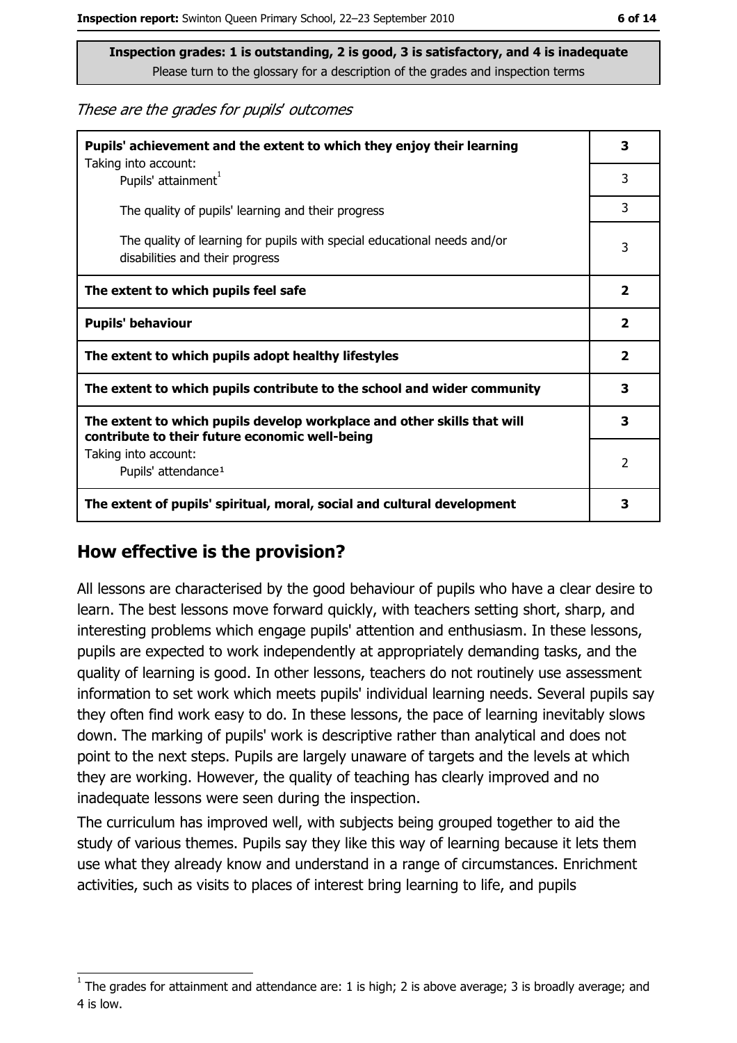These are the grades for pupils' outcomes

| Pupils' achievement and the extent to which they enjoy their learning                                                     | 3                       |
|---------------------------------------------------------------------------------------------------------------------------|-------------------------|
| Taking into account:<br>Pupils' attainment <sup>1</sup>                                                                   | 3                       |
| The quality of pupils' learning and their progress                                                                        | 3                       |
| The quality of learning for pupils with special educational needs and/or<br>disabilities and their progress               | 3                       |
| The extent to which pupils feel safe                                                                                      | $\overline{\mathbf{2}}$ |
| <b>Pupils' behaviour</b>                                                                                                  | $\overline{\mathbf{2}}$ |
| The extent to which pupils adopt healthy lifestyles                                                                       | $\mathbf{2}$            |
| The extent to which pupils contribute to the school and wider community                                                   |                         |
| The extent to which pupils develop workplace and other skills that will<br>contribute to their future economic well-being | 3                       |
| Taking into account:<br>Pupils' attendance <sup>1</sup>                                                                   | 2                       |
| The extent of pupils' spiritual, moral, social and cultural development                                                   | 3                       |

#### How effective is the provision?

All lessons are characterised by the good behaviour of pupils who have a clear desire to learn. The best lessons move forward quickly, with teachers setting short, sharp, and interesting problems which engage pupils' attention and enthusiasm. In these lessons, pupils are expected to work independently at appropriately demanding tasks, and the quality of learning is good. In other lessons, teachers do not routinely use assessment information to set work which meets pupils' individual learning needs. Several pupils say they often find work easy to do. In these lessons, the pace of learning inevitably slows down. The marking of pupils' work is descriptive rather than analytical and does not point to the next steps. Pupils are largely unaware of targets and the levels at which they are working. However, the quality of teaching has clearly improved and no inadequate lessons were seen during the inspection.

The curriculum has improved well, with subjects being grouped together to aid the study of various themes. Pupils say they like this way of learning because it lets them use what they already know and understand in a range of circumstances. Enrichment activities, such as visits to places of interest bring learning to life, and pupils

The grades for attainment and attendance are: 1 is high; 2 is above average; 3 is broadly average; and 4 is low.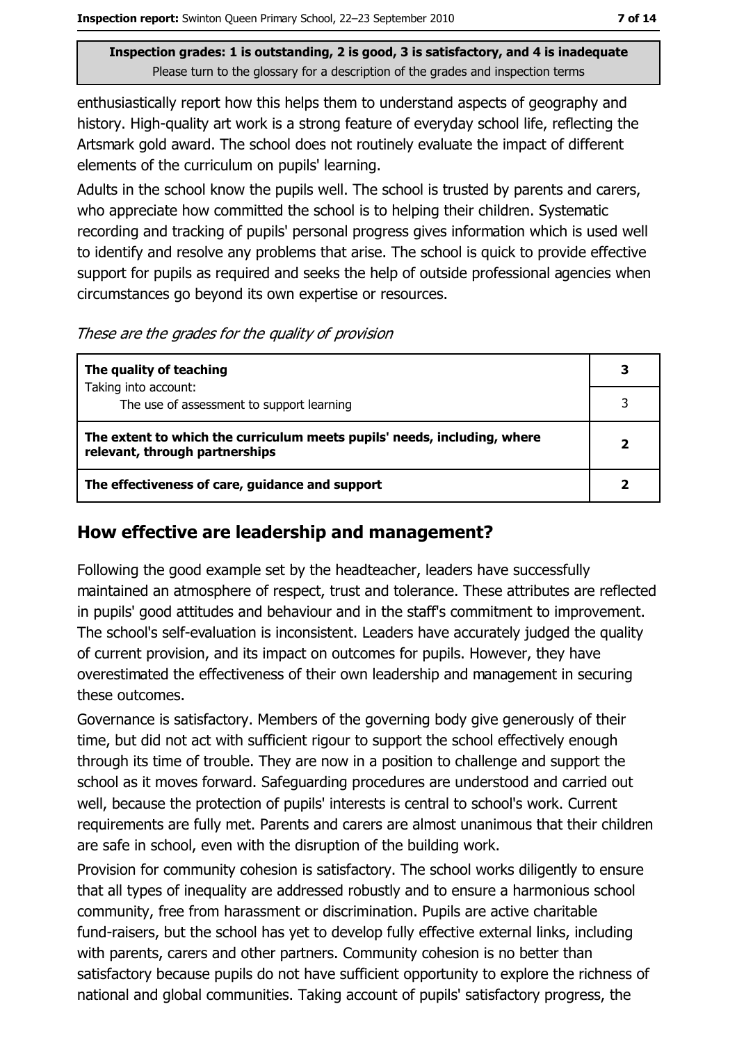enthusiastically report how this helps them to understand aspects of geography and history. High-quality art work is a strong feature of everyday school life, reflecting the Artsmark gold award. The school does not routinely evaluate the impact of different elements of the curriculum on pupils' learning.

Adults in the school know the pupils well. The school is trusted by parents and carers, who appreciate how committed the school is to helping their children. Systematic recording and tracking of pupils' personal progress gives information which is used well to identify and resolve any problems that arise. The school is quick to provide effective support for pupils as required and seeks the help of outside professional agencies when circumstances go beyond its own expertise or resources.

These are the grades for the quality of provision

| The quality of teaching                                                                                    | 3 |
|------------------------------------------------------------------------------------------------------------|---|
| Taking into account:                                                                                       |   |
| The use of assessment to support learning                                                                  |   |
| The extent to which the curriculum meets pupils' needs, including, where<br>relevant, through partnerships | 2 |
| The effectiveness of care, guidance and support                                                            |   |

#### How effective are leadership and management?

Following the good example set by the headteacher, leaders have successfully maintained an atmosphere of respect, trust and tolerance. These attributes are reflected in pupils' good attitudes and behaviour and in the staff's commitment to improvement. The school's self-evaluation is inconsistent. Leaders have accurately judged the quality of current provision, and its impact on outcomes for pupils. However, they have overestimated the effectiveness of their own leadership and management in securing these outcomes.

Governance is satisfactory. Members of the governing body give generously of their time, but did not act with sufficient rigour to support the school effectively enough through its time of trouble. They are now in a position to challenge and support the school as it moves forward. Safeguarding procedures are understood and carried out well, because the protection of pupils' interests is central to school's work. Current requirements are fully met. Parents and carers are almost unanimous that their children are safe in school, even with the disruption of the building work.

Provision for community cohesion is satisfactory. The school works diligently to ensure that all types of inequality are addressed robustly and to ensure a harmonious school community, free from harassment or discrimination. Pupils are active charitable fund-raisers, but the school has yet to develop fully effective external links, including with parents, carers and other partners. Community cohesion is no better than satisfactory because pupils do not have sufficient opportunity to explore the richness of national and global communities. Taking account of pupils' satisfactory progress, the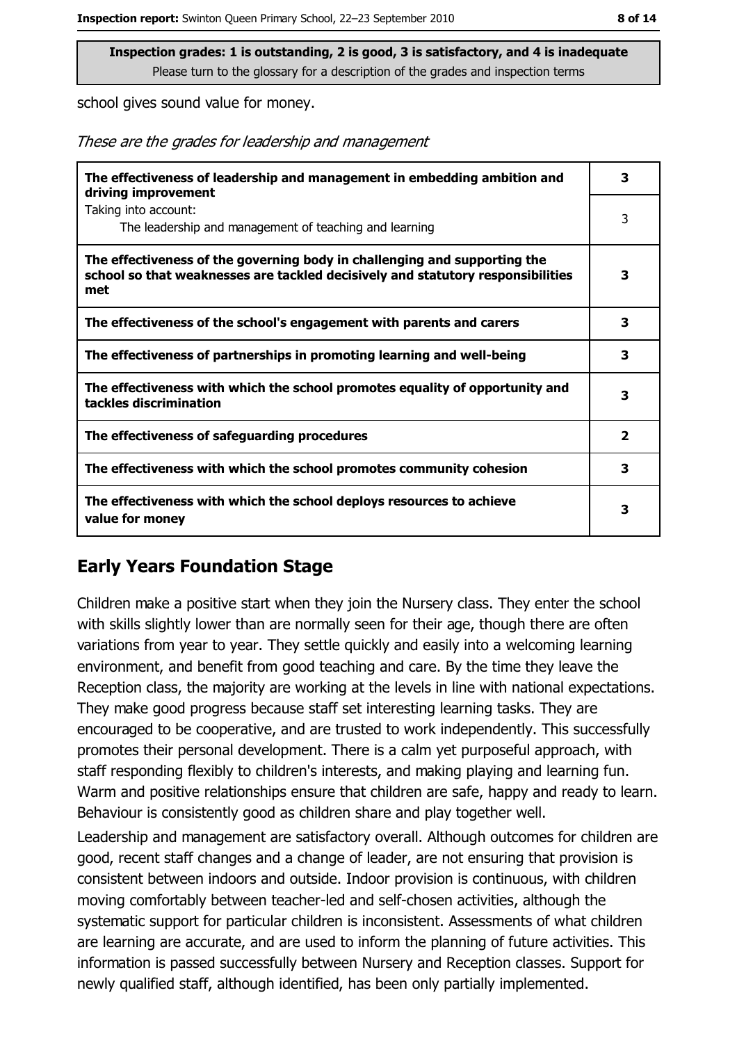school gives sound value for money.

These are the grades for leadership and management

| The effectiveness of leadership and management in embedding ambition and<br>driving improvement                                                                     | 3              |
|---------------------------------------------------------------------------------------------------------------------------------------------------------------------|----------------|
| Taking into account:<br>The leadership and management of teaching and learning                                                                                      | 3              |
| The effectiveness of the governing body in challenging and supporting the<br>school so that weaknesses are tackled decisively and statutory responsibilities<br>met | 3              |
| The effectiveness of the school's engagement with parents and carers                                                                                                | 3              |
| The effectiveness of partnerships in promoting learning and well-being                                                                                              | 3              |
| The effectiveness with which the school promotes equality of opportunity and<br>tackles discrimination                                                              | з              |
| The effectiveness of safeguarding procedures                                                                                                                        | $\overline{2}$ |
| The effectiveness with which the school promotes community cohesion                                                                                                 | 3              |
| The effectiveness with which the school deploys resources to achieve<br>value for money                                                                             | з              |

#### **Early Years Foundation Stage**

Children make a positive start when they join the Nursery class. They enter the school with skills slightly lower than are normally seen for their age, though there are often variations from year to year. They settle quickly and easily into a welcoming learning environment, and benefit from good teaching and care. By the time they leave the Reception class, the majority are working at the levels in line with national expectations. They make good progress because staff set interesting learning tasks. They are encouraged to be cooperative, and are trusted to work independently. This successfully promotes their personal development. There is a calm yet purposeful approach, with staff responding flexibly to children's interests, and making playing and learning fun. Warm and positive relationships ensure that children are safe, happy and ready to learn. Behaviour is consistently good as children share and play together well.

Leadership and management are satisfactory overall. Although outcomes for children are good, recent staff changes and a change of leader, are not ensuring that provision is consistent between indoors and outside. Indoor provision is continuous, with children moving comfortably between teacher-led and self-chosen activities, although the systematic support for particular children is inconsistent. Assessments of what children are learning are accurate, and are used to inform the planning of future activities. This information is passed successfully between Nursery and Reception classes. Support for newly qualified staff, although identified, has been only partially implemented.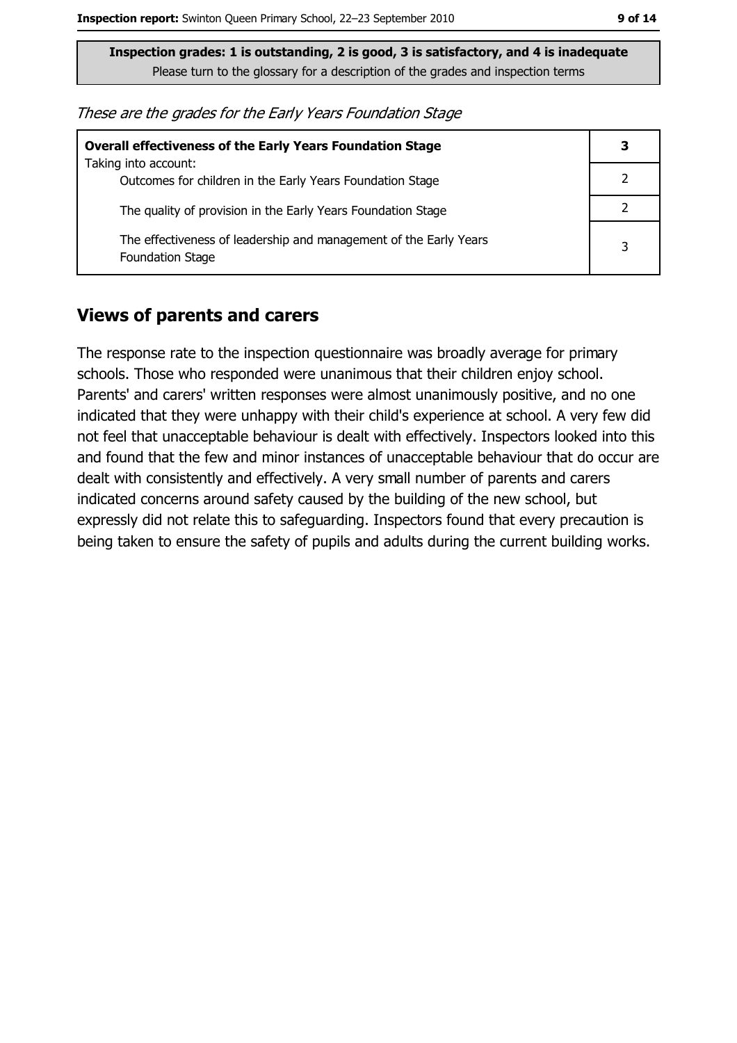These are the grades for the Early Years Foundation Stage

| <b>Overall effectiveness of the Early Years Foundation Stage</b><br>Taking into account:     | 3 |
|----------------------------------------------------------------------------------------------|---|
| Outcomes for children in the Early Years Foundation Stage                                    |   |
| The quality of provision in the Early Years Foundation Stage                                 |   |
| The effectiveness of leadership and management of the Early Years<br><b>Foundation Stage</b> | 3 |

#### **Views of parents and carers**

The response rate to the inspection questionnaire was broadly average for primary schools. Those who responded were unanimous that their children enjoy school. Parents' and carers' written responses were almost unanimously positive, and no one indicated that they were unhappy with their child's experience at school. A very few did not feel that unacceptable behaviour is dealt with effectively. Inspectors looked into this and found that the few and minor instances of unacceptable behaviour that do occur are dealt with consistently and effectively. A very small number of parents and carers indicated concerns around safety caused by the building of the new school, but expressly did not relate this to safeguarding. Inspectors found that every precaution is being taken to ensure the safety of pupils and adults during the current building works.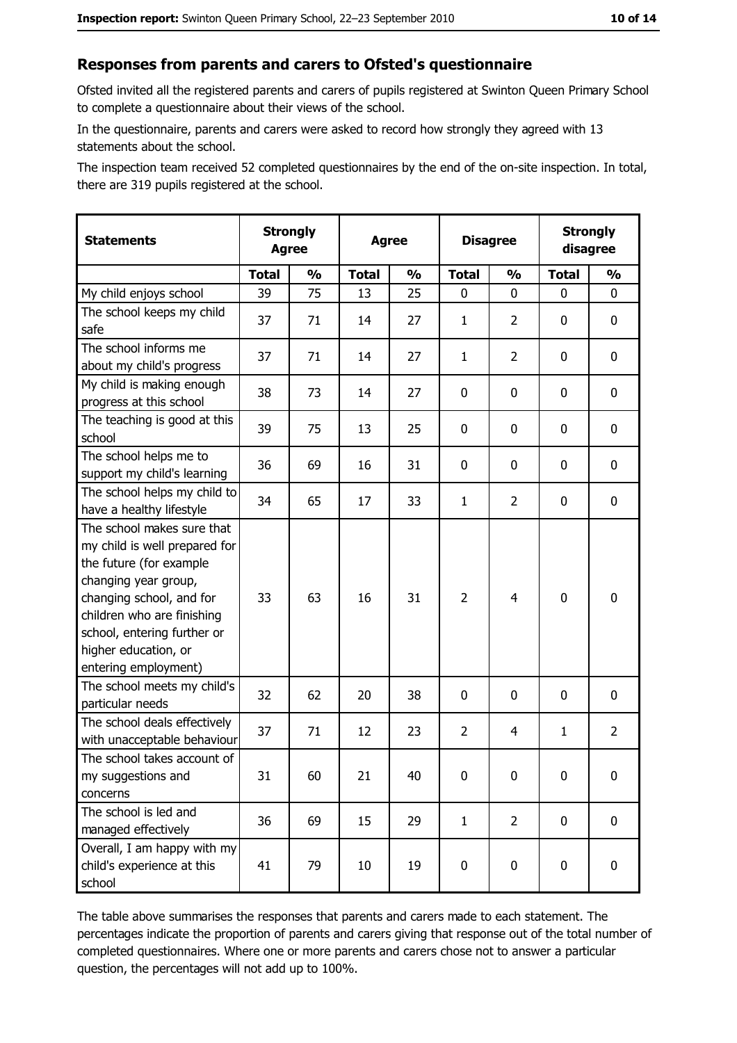#### Responses from parents and carers to Ofsted's questionnaire

Ofsted invited all the registered parents and carers of pupils registered at Swinton Oueen Primary School to complete a questionnaire about their views of the school.

In the questionnaire, parents and carers were asked to record how strongly they agreed with 13 statements about the school.

The inspection team received 52 completed questionnaires by the end of the on-site inspection. In total, there are 319 pupils registered at the school.

| <b>Statements</b>                                                                                                                                                                                                                                       | <b>Strongly</b><br><b>Agree</b> |               | <b>Agree</b> |               | <b>Disagree</b> |                | <b>Strongly</b><br>disagree |                |
|---------------------------------------------------------------------------------------------------------------------------------------------------------------------------------------------------------------------------------------------------------|---------------------------------|---------------|--------------|---------------|-----------------|----------------|-----------------------------|----------------|
|                                                                                                                                                                                                                                                         | <b>Total</b>                    | $\frac{1}{2}$ | <b>Total</b> | $\frac{0}{0}$ | <b>Total</b>    | $\frac{0}{0}$  | <b>Total</b>                | $\frac{1}{2}$  |
| My child enjoys school                                                                                                                                                                                                                                  | 39                              | 75            | 13           | 25            | 0               | 0              | 0                           | 0              |
| The school keeps my child<br>safe                                                                                                                                                                                                                       | 37                              | 71            | 14           | 27            | $\mathbf{1}$    | 2              | 0                           | 0              |
| The school informs me<br>about my child's progress                                                                                                                                                                                                      | 37                              | 71            | 14           | 27            | $\mathbf{1}$    | $\overline{2}$ | $\mathbf{0}$                | 0              |
| My child is making enough<br>progress at this school                                                                                                                                                                                                    | 38                              | 73            | 14           | 27            | $\mathbf 0$     | 0              | 0                           | 0              |
| The teaching is good at this<br>school                                                                                                                                                                                                                  | 39                              | 75            | 13           | 25            | $\mathbf 0$     | 0              | 0                           | 0              |
| The school helps me to<br>support my child's learning                                                                                                                                                                                                   | 36                              | 69            | 16           | 31            | $\mathbf 0$     | 0              | 0                           | 0              |
| The school helps my child to<br>have a healthy lifestyle                                                                                                                                                                                                | 34                              | 65            | 17           | 33            | $\mathbf{1}$    | $\overline{2}$ | 0                           | 0              |
| The school makes sure that<br>my child is well prepared for<br>the future (for example<br>changing year group,<br>changing school, and for<br>children who are finishing<br>school, entering further or<br>higher education, or<br>entering employment) | 33                              | 63            | 16           | 31            | $\overline{2}$  | 4              | $\mathbf 0$                 | 0              |
| The school meets my child's<br>particular needs                                                                                                                                                                                                         | 32                              | 62            | 20           | 38            | $\mathbf 0$     | 0              | 0                           | 0              |
| The school deals effectively<br>with unacceptable behaviour                                                                                                                                                                                             | 37                              | 71            | 12           | 23            | $\overline{2}$  | 4              | 1                           | $\overline{2}$ |
| The school takes account of<br>my suggestions and<br>concerns                                                                                                                                                                                           | 31                              | 60            | 21           | 40            | $\mathbf 0$     | 0              | 0                           | 0              |
| The school is led and<br>managed effectively                                                                                                                                                                                                            | 36                              | 69            | 15           | 29            | $\mathbf{1}$    | $\overline{2}$ | 0                           | $\mathbf 0$    |
| Overall, I am happy with my<br>child's experience at this<br>school                                                                                                                                                                                     | 41                              | 79            | 10           | 19            | $\mathbf 0$     | 0              | $\mathbf 0$                 | 0              |

The table above summarises the responses that parents and carers made to each statement. The percentages indicate the proportion of parents and carers giving that response out of the total number of completed questionnaires. Where one or more parents and carers chose not to answer a particular question, the percentages will not add up to 100%.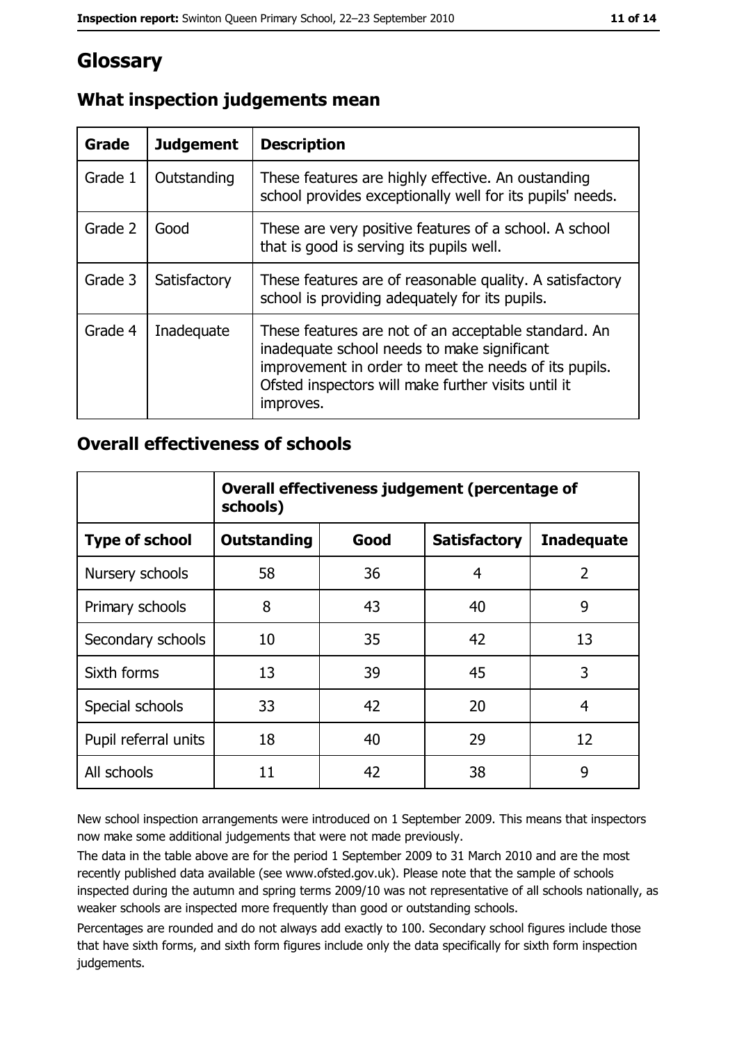## **Glossary**

| Grade   | <b>Judgement</b> | <b>Description</b>                                                                                                                                                                                                               |  |
|---------|------------------|----------------------------------------------------------------------------------------------------------------------------------------------------------------------------------------------------------------------------------|--|
| Grade 1 | Outstanding      | These features are highly effective. An oustanding<br>school provides exceptionally well for its pupils' needs.                                                                                                                  |  |
| Grade 2 | Good             | These are very positive features of a school. A school<br>that is good is serving its pupils well.                                                                                                                               |  |
| Grade 3 | Satisfactory     | These features are of reasonable quality. A satisfactory<br>school is providing adequately for its pupils.                                                                                                                       |  |
| Grade 4 | Inadequate       | These features are not of an acceptable standard. An<br>inadequate school needs to make significant<br>improvement in order to meet the needs of its pupils.<br>Ofsted inspectors will make further visits until it<br>improves. |  |

## What inspection judgements mean

#### **Overall effectiveness of schools**

|                       | Overall effectiveness judgement (percentage of<br>schools) |      |                     |                   |
|-----------------------|------------------------------------------------------------|------|---------------------|-------------------|
| <b>Type of school</b> | <b>Outstanding</b>                                         | Good | <b>Satisfactory</b> | <b>Inadequate</b> |
| Nursery schools       | 58                                                         | 36   | 4                   | $\overline{2}$    |
| Primary schools       | 8                                                          | 43   | 40                  | 9                 |
| Secondary schools     | 10                                                         | 35   | 42                  | 13                |
| Sixth forms           | 13                                                         | 39   | 45                  | 3                 |
| Special schools       | 33                                                         | 42   | 20                  | 4                 |
| Pupil referral units  | 18                                                         | 40   | 29                  | 12                |
| All schools           | 11                                                         | 42   | 38                  | 9                 |

New school inspection arrangements were introduced on 1 September 2009. This means that inspectors now make some additional judgements that were not made previously.

The data in the table above are for the period 1 September 2009 to 31 March 2010 and are the most recently published data available (see www.ofsted.gov.uk). Please note that the sample of schools inspected during the autumn and spring terms 2009/10 was not representative of all schools nationally, as weaker schools are inspected more frequently than good or outstanding schools.

Percentages are rounded and do not always add exactly to 100. Secondary school figures include those that have sixth forms, and sixth form figures include only the data specifically for sixth form inspection judgements.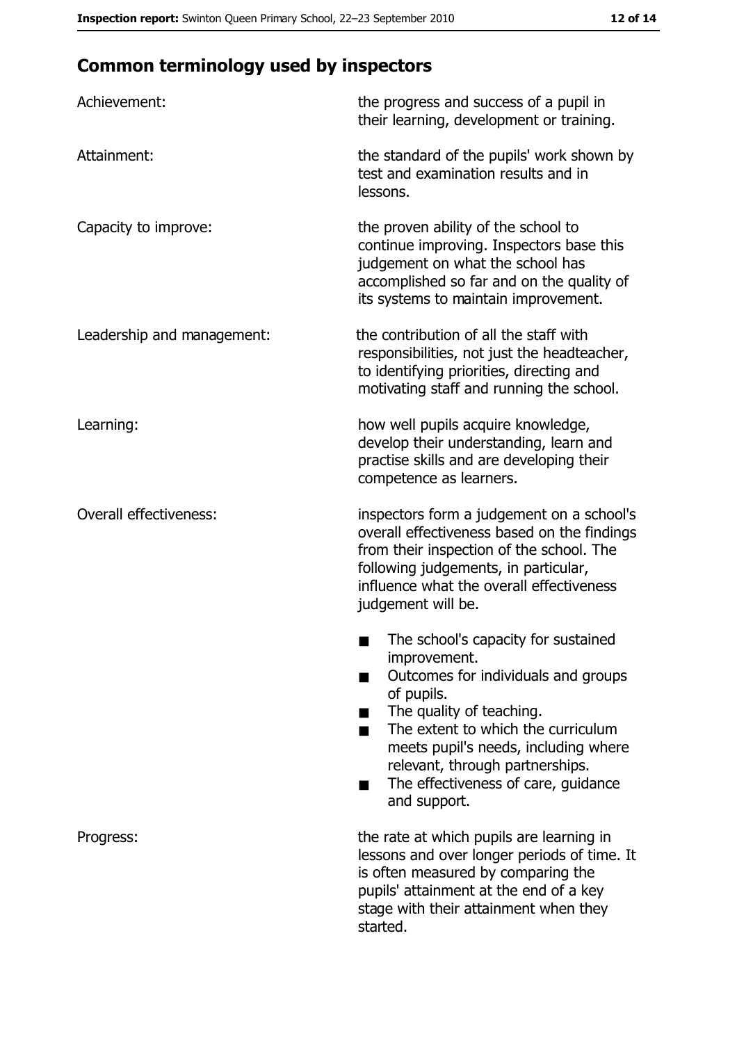# **Common terminology used by inspectors**

| Achievement:                  | the progress and success of a pupil in<br>their learning, development or training.                                                                                                                                                                                                                                |
|-------------------------------|-------------------------------------------------------------------------------------------------------------------------------------------------------------------------------------------------------------------------------------------------------------------------------------------------------------------|
| Attainment:                   | the standard of the pupils' work shown by<br>test and examination results and in<br>lessons.                                                                                                                                                                                                                      |
| Capacity to improve:          | the proven ability of the school to<br>continue improving. Inspectors base this<br>judgement on what the school has<br>accomplished so far and on the quality of<br>its systems to maintain improvement.                                                                                                          |
| Leadership and management:    | the contribution of all the staff with<br>responsibilities, not just the headteacher,<br>to identifying priorities, directing and<br>motivating staff and running the school.                                                                                                                                     |
| Learning:                     | how well pupils acquire knowledge,<br>develop their understanding, learn and<br>practise skills and are developing their<br>competence as learners.                                                                                                                                                               |
| <b>Overall effectiveness:</b> | inspectors form a judgement on a school's<br>overall effectiveness based on the findings<br>from their inspection of the school. The<br>following judgements, in particular,<br>influence what the overall effectiveness<br>judgement will be.                                                                    |
|                               | The school's capacity for sustained<br>improvement.<br>Outcomes for individuals and groups<br>of pupils.<br>The quality of teaching.<br>The extent to which the curriculum<br>meets pupil's needs, including where<br>relevant, through partnerships.<br>The effectiveness of care, guidance<br>٠<br>and support. |
| Progress:                     | the rate at which pupils are learning in<br>lessons and over longer periods of time. It<br>is often measured by comparing the<br>pupils' attainment at the end of a key<br>stage with their attainment when they<br>started.                                                                                      |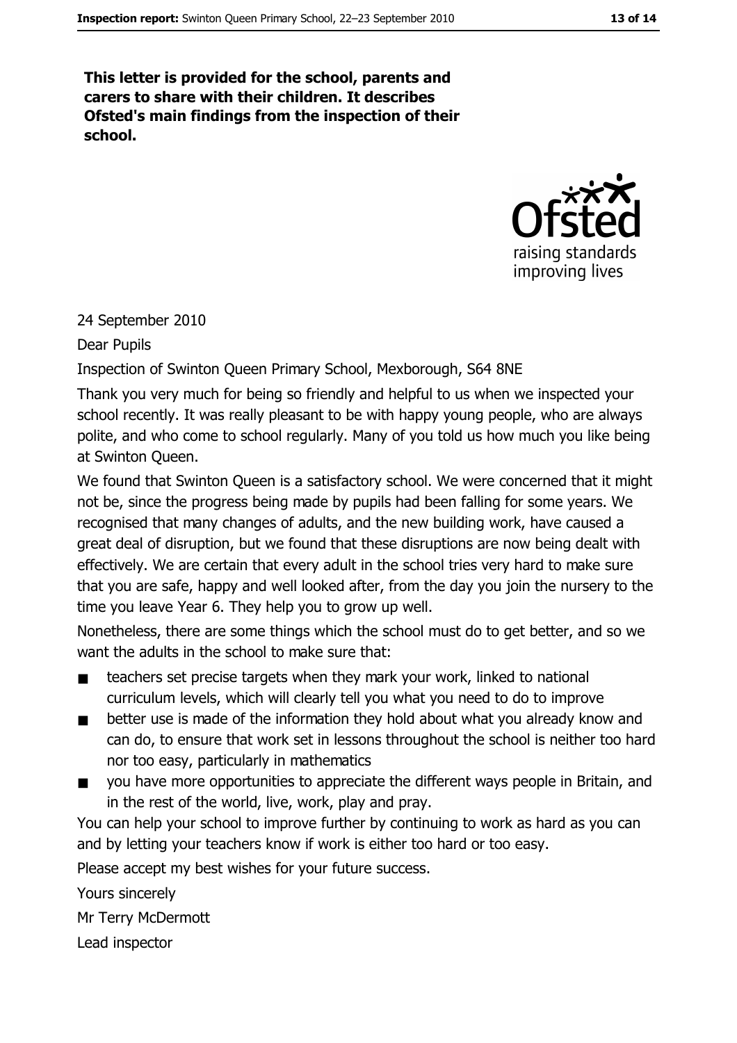This letter is provided for the school, parents and carers to share with their children. It describes Ofsted's main findings from the inspection of their school.



24 September 2010

Dear Pupils

Inspection of Swinton Queen Primary School, Mexborough, S64 8NE

Thank you very much for being so friendly and helpful to us when we inspected your school recently. It was really pleasant to be with happy young people, who are always polite, and who come to school regularly. Many of you told us how much you like being at Swinton Oueen.

We found that Swinton Queen is a satisfactory school. We were concerned that it might not be, since the progress being made by pupils had been falling for some years. We recognised that many changes of adults, and the new building work, have caused a great deal of disruption, but we found that these disruptions are now being dealt with effectively. We are certain that every adult in the school tries very hard to make sure that you are safe, happy and well looked after, from the day you join the nursery to the time you leave Year 6. They help you to grow up well.

Nonetheless, there are some things which the school must do to get better, and so we want the adults in the school to make sure that:

- teachers set precise targets when they mark your work, linked to national  $\blacksquare$ curriculum levels, which will clearly tell you what you need to do to improve
- better use is made of the information they hold about what you already know and  $\blacksquare$ can do, to ensure that work set in lessons throughout the school is neither too hard nor too easy, particularly in mathematics
- you have more opportunities to appreciate the different ways people in Britain, and  $\blacksquare$ in the rest of the world, live, work, play and pray.

You can help your school to improve further by continuing to work as hard as you can and by letting your teachers know if work is either too hard or too easy.

Please accept my best wishes for your future success.

Yours sincerely

Mr Terry McDermott

Lead inspector